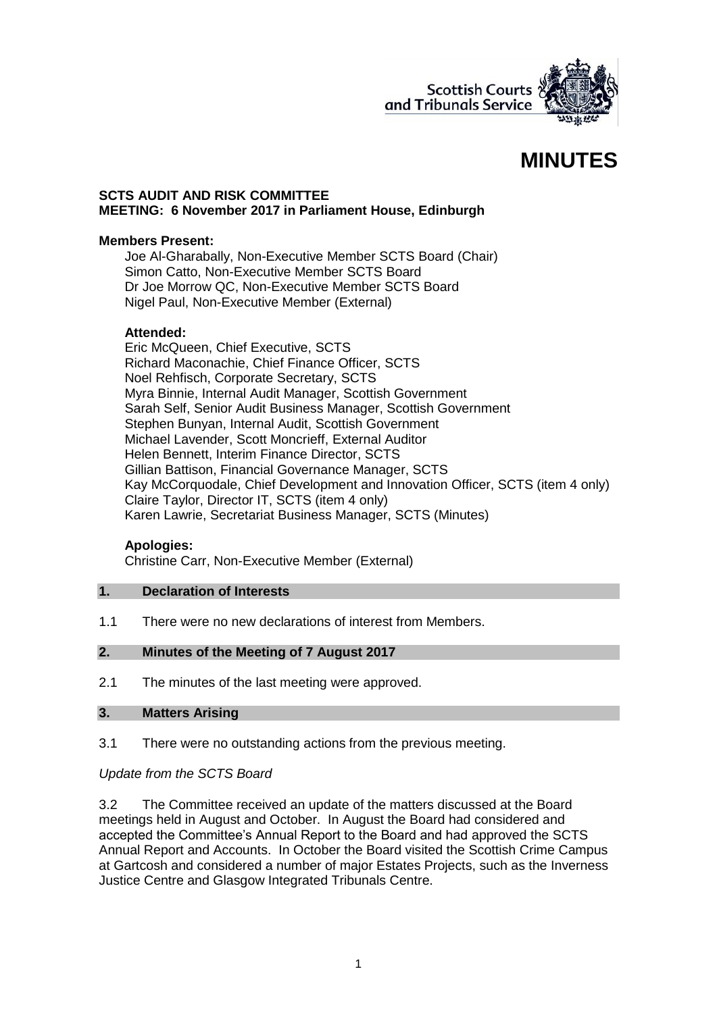

# **MINUTES**

#### **SCTS AUDIT AND RISK COMMITTEE MEETING: 6 November 2017 in Parliament House, Edinburgh**

#### **Members Present:**

Joe Al-Gharabally, Non-Executive Member SCTS Board (Chair) Simon Catto, Non-Executive Member SCTS Board Dr Joe Morrow QC, Non-Executive Member SCTS Board Nigel Paul, Non-Executive Member (External)

#### **Attended:**

Eric McQueen, Chief Executive, SCTS Richard Maconachie, Chief Finance Officer, SCTS Noel Rehfisch, Corporate Secretary, SCTS Myra Binnie, Internal Audit Manager, Scottish Government Sarah Self, Senior Audit Business Manager, Scottish Government Stephen Bunyan, Internal Audit, Scottish Government Michael Lavender, Scott Moncrieff, External Auditor Helen Bennett, Interim Finance Director, SCTS Gillian Battison, Financial Governance Manager, SCTS Kay McCorquodale, Chief Development and Innovation Officer, SCTS (item 4 only) Claire Taylor, Director IT, SCTS (item 4 only) Karen Lawrie, Secretariat Business Manager, SCTS (Minutes)

#### **Apologies:**

Christine Carr, Non-Executive Member (External)

#### **1. Declaration of Interests**

1.1 There were no new declarations of interest from Members.

#### **2. Minutes of the Meeting of 7 August 2017**

2.1 The minutes of the last meeting were approved.

#### **3. Matters Arising**

3.1 There were no outstanding actions from the previous meeting.

## *Update from the SCTS Board*

3.2 The Committee received an update of the matters discussed at the Board meetings held in August and October. In August the Board had considered and accepted the Committee's Annual Report to the Board and had approved the SCTS Annual Report and Accounts. In October the Board visited the Scottish Crime Campus at Gartcosh and considered a number of major Estates Projects, such as the Inverness Justice Centre and Glasgow Integrated Tribunals Centre.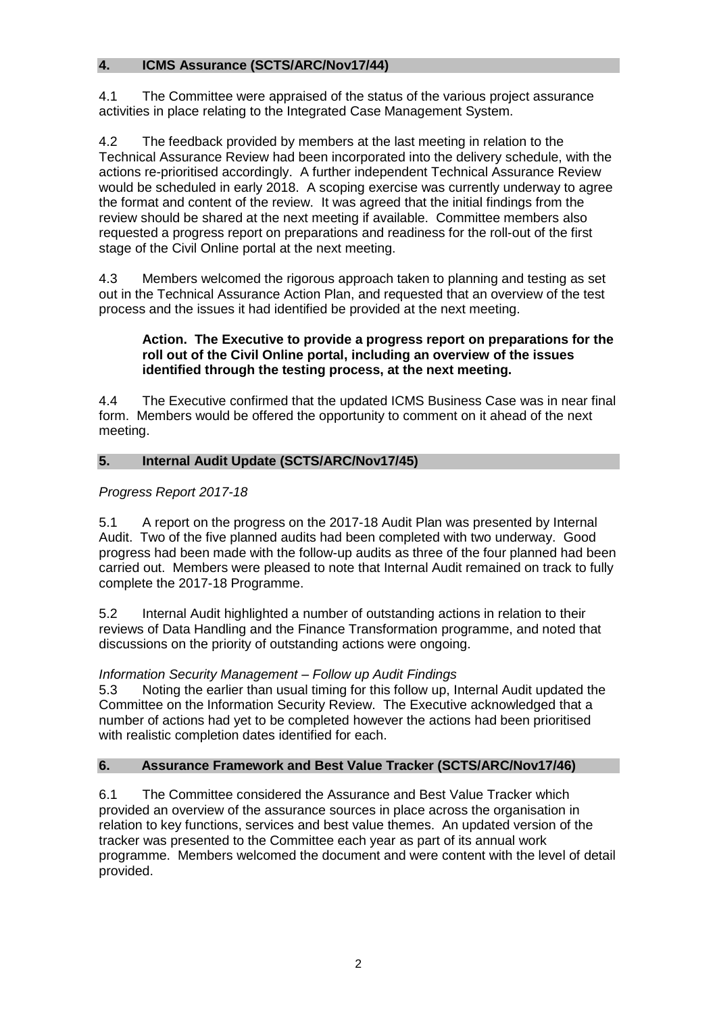# **4. ICMS Assurance (SCTS/ARC/Nov17/44)**

4.1 The Committee were appraised of the status of the various project assurance activities in place relating to the Integrated Case Management System.

4.2 The feedback provided by members at the last meeting in relation to the Technical Assurance Review had been incorporated into the delivery schedule, with the actions re-prioritised accordingly. A further independent Technical Assurance Review would be scheduled in early 2018. A scoping exercise was currently underway to agree the format and content of the review. It was agreed that the initial findings from the review should be shared at the next meeting if available. Committee members also requested a progress report on preparations and readiness for the roll-out of the first stage of the Civil Online portal at the next meeting.

4.3 Members welcomed the rigorous approach taken to planning and testing as set out in the Technical Assurance Action Plan, and requested that an overview of the test process and the issues it had identified be provided at the next meeting.

## **Action. The Executive to provide a progress report on preparations for the roll out of the Civil Online portal, including an overview of the issues identified through the testing process, at the next meeting.**

4.4 The Executive confirmed that the updated ICMS Business Case was in near final form. Members would be offered the opportunity to comment on it ahead of the next meeting.

# **5. Internal Audit Update (SCTS/ARC/Nov17/45)**

# *Progress Report 2017-18*

5.1 A report on the progress on the 2017-18 Audit Plan was presented by Internal Audit. Two of the five planned audits had been completed with two underway. Good progress had been made with the follow-up audits as three of the four planned had been carried out. Members were pleased to note that Internal Audit remained on track to fully complete the 2017-18 Programme.

5.2 Internal Audit highlighted a number of outstanding actions in relation to their reviews of Data Handling and the Finance Transformation programme, and noted that discussions on the priority of outstanding actions were ongoing.

## *Information Security Management – Follow up Audit Findings*

5.3 Noting the earlier than usual timing for this follow up, Internal Audit updated the Committee on the Information Security Review. The Executive acknowledged that a number of actions had yet to be completed however the actions had been prioritised with realistic completion dates identified for each.

## **6. Assurance Framework and Best Value Tracker (SCTS/ARC/Nov17/46)**

6.1 The Committee considered the Assurance and Best Value Tracker which provided an overview of the assurance sources in place across the organisation in relation to key functions, services and best value themes. An updated version of the tracker was presented to the Committee each year as part of its annual work programme. Members welcomed the document and were content with the level of detail provided.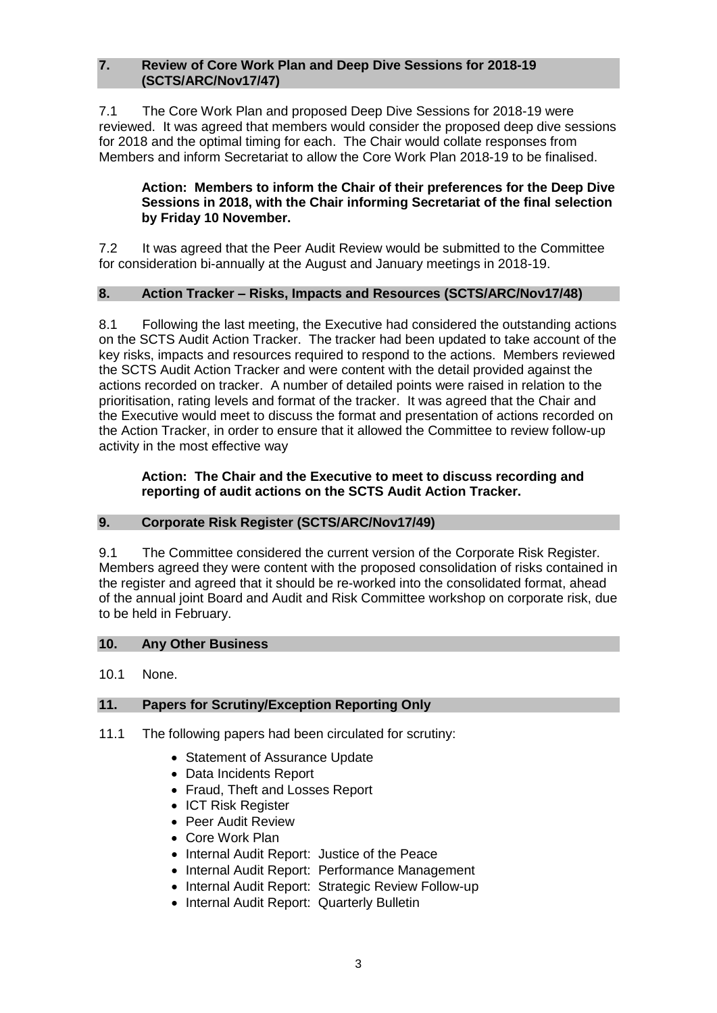#### **7. Review of Core Work Plan and Deep Dive Sessions for 2018-19 (SCTS/ARC/Nov17/47)**

7.1 The Core Work Plan and proposed Deep Dive Sessions for 2018-19 were reviewed. It was agreed that members would consider the proposed deep dive sessions for 2018 and the optimal timing for each. The Chair would collate responses from Members and inform Secretariat to allow the Core Work Plan 2018-19 to be finalised.

## **Action: Members to inform the Chair of their preferences for the Deep Dive Sessions in 2018, with the Chair informing Secretariat of the final selection by Friday 10 November.**

7.2 It was agreed that the Peer Audit Review would be submitted to the Committee for consideration bi-annually at the August and January meetings in 2018-19.

# **8. Action Tracker – Risks, Impacts and Resources (SCTS/ARC/Nov17/48)**

8.1 Following the last meeting, the Executive had considered the outstanding actions on the SCTS Audit Action Tracker. The tracker had been updated to take account of the key risks, impacts and resources required to respond to the actions. Members reviewed the SCTS Audit Action Tracker and were content with the detail provided against the actions recorded on tracker. A number of detailed points were raised in relation to the prioritisation, rating levels and format of the tracker. It was agreed that the Chair and the Executive would meet to discuss the format and presentation of actions recorded on the Action Tracker, in order to ensure that it allowed the Committee to review follow-up activity in the most effective way

## **Action: The Chair and the Executive to meet to discuss recording and reporting of audit actions on the SCTS Audit Action Tracker.**

# **9. Corporate Risk Register (SCTS/ARC/Nov17/49)**

9.1 The Committee considered the current version of the Corporate Risk Register. Members agreed they were content with the proposed consolidation of risks contained in the register and agreed that it should be re-worked into the consolidated format, ahead of the annual joint Board and Audit and Risk Committee workshop on corporate risk, due to be held in February.

## **10. Any Other Business**

10.1 None.

# **11. Papers for Scrutiny/Exception Reporting Only**

- 11.1 The following papers had been circulated for scrutiny:
	- Statement of Assurance Update
	- Data Incidents Report
	- Fraud, Theft and Losses Report
	- ICT Risk Register
	- Peer Audit Review
	- Core Work Plan
	- Internal Audit Report: Justice of the Peace
	- Internal Audit Report: Performance Management
	- Internal Audit Report: Strategic Review Follow-up
	- Internal Audit Report: Quarterly Bulletin